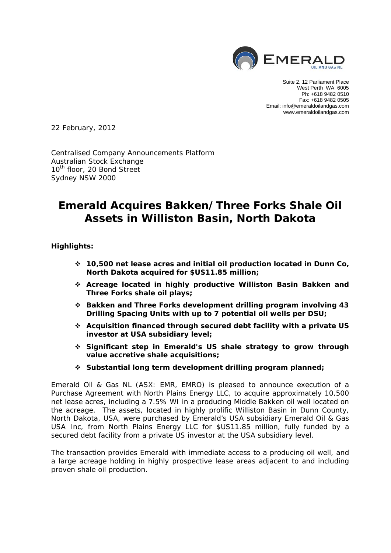

Suite 2, 12 Parliament Place West Perth WA 6005 Ph: +618 9482 0510 Fax: +618 9482 0505 Email: info@emeraldoilandgas.com www.emeraldoilandgas.com

22 February, 2012

Centralised Company Announcements Platform Australian Stock Exchange 10<sup>th</sup> floor, 20 Bond Street Sydney NSW 2000

# **Emerald Acquires Bakken/Three Forks Shale Oil Assets in Williston Basin, North Dakota**

**Highlights:** 

- **10,500 net lease acres and initial oil production located in Dunn Co, North Dakota acquired for \$US11.85 million;**
- **Acreage located in highly productive Williston Basin Bakken and Three Forks shale oil plays;**
- **Bakken and Three Forks development drilling program involving 43 Drilling Spacing Units with up to 7 potential oil wells per DSU;**
- **Acquisition financed through secured debt facility with a private US investor at USA subsidiary level;**
- **Significant step in Emerald's US shale strategy to grow through value accretive shale acquisitions;**
- **Substantial long term development drilling program planned;**

Emerald Oil & Gas NL (ASX: EMR, EMRO) is pleased to announce execution of a Purchase Agreement with North Plains Energy LLC, to acquire approximately 10,500 net lease acres, including a 7.5% WI in a producing Middle Bakken oil well located on the acreage. The assets, located in highly prolific Williston Basin in Dunn County, North Dakota, USA, were purchased by Emerald's USA subsidiary Emerald Oil & Gas USA Inc, from North Plains Energy LLC for \$US11.85 million, fully funded by a secured debt facility from a private US investor at the USA subsidiary level.

The transaction provides Emerald with immediate access to a producing oil well, and a large acreage holding in highly prospective lease areas adjacent to and including proven shale oil production.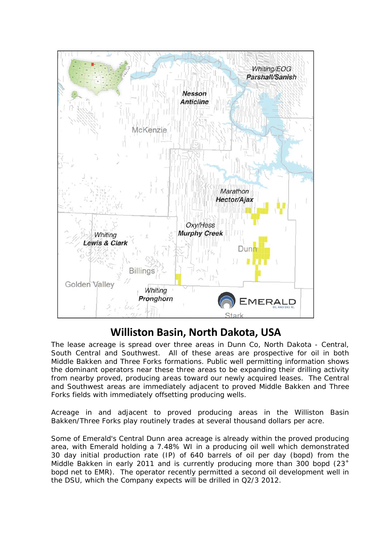

# **Williston Basin, North Dakota, USA**

The lease acreage is spread over three areas in Dunn Co, North Dakota - Central, South Central and Southwest. All of these areas are prospective for oil in both Middle Bakken and Three Forks formations. Public well permitting information shows the dominant operators near these three areas to be expanding their drilling activity from nearby proved, producing areas toward our newly acquired leases. The Central and Southwest areas are immediately adjacent to proved Middle Bakken and Three Forks fields with immediately offsetting producing wells.

Acreage in and adjacent to proved producing areas in the Williston Basin Bakken/Three Forks play routinely trades at several thousand dollars per acre.

Some of Emerald's Central Dunn area acreage is already within the proved producing area, with Emerald holding a 7.48% WI in a producing oil well which demonstrated 30 day initial production rate (IP) of 640 barrels of oil per day (bopd) from the Middle Bakken in early 2011 and is currently producing more than 300 bopd  $(23<sup>+</sup>)$ bopd net to EMR). The operator recently permitted a second oil development well in the DSU, which the Company expects will be drilled in Q2/3 2012.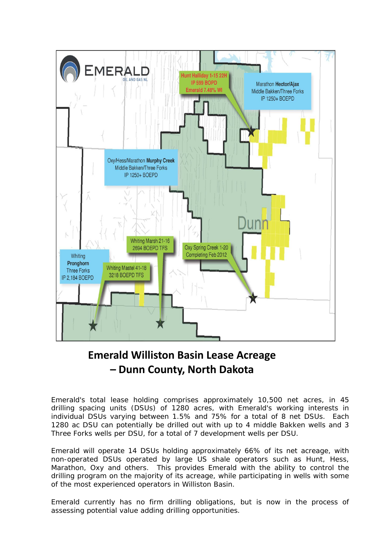

# **Emerald Williston Basin Lease Acreage – Dunn County, North Dakota**

Emerald's total lease holding comprises approximately 10,500 net acres, in 45 drilling spacing units (DSUs) of 1280 acres, with Emerald's working interests in individual DSUs varying between 1.5% and 75% for a total of 8 net DSUs. Each 1280 ac DSU can potentially be drilled out with up to 4 middle Bakken wells and 3 Three Forks wells per DSU, for a total of 7 development wells per DSU.

Emerald will operate 14 DSUs holding approximately 66% of its net acreage, with non-operated DSUs operated by large US shale operators such as Hunt, Hess, Marathon, Oxy and others. This provides Emerald with the ability to control the drilling program on the majority of its acreage, while participating in wells with some of the most experienced operators in Williston Basin.

Emerald currently has no firm drilling obligations, but is now in the process of assessing potential value adding drilling opportunities.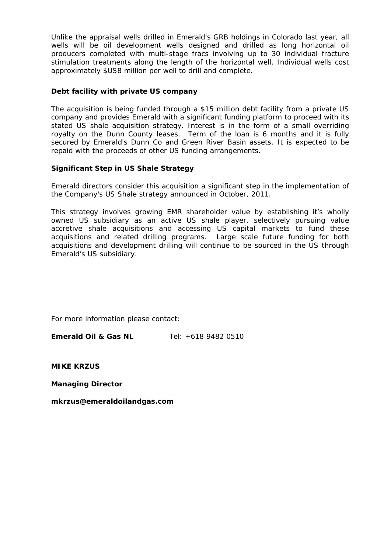Unlike the appraisal wells drilled in Emerald's GRB holdings in Colorado last year, all wells will be oil development wells designed and drilled as long horizontal oil producers completed with multi-stage fracs involving up to 30 individual fracture stimulation treatments along the length of the horizontal well. Individual wells cost approximately \$US8 million per well to drill and complete.

### **Debt facility with private US company**

The acquisition is being funded through a \$15 million debt facility from a private US company and provides Emerald with a significant funding platform to proceed with its stated US shale acquisition strategy. Interest is in the form of a small overriding royalty on the Dunn County leases. Term of the loan is 6 months and it is fully secured by Emerald's Dunn Co and Green River Basin assets. It is expected to be repaid with the proceeds of other US funding arrangements.

#### **Significant Step in US Shale Strategy**

Emerald directors consider this acquisition a significant step in the implementation of the Company's US Shale strategy announced in October, 2011.

This strategy involves growing EMR shareholder value by establishing it's wholly owned US subsidiary as an active US shale player, selectively pursuing value accretive shale acquisitions and accessing US capital markets to fund these acquisitions and related drilling programs. Large scale future funding for both acquisitions and development drilling will continue to be sourced in the US through Emerald's US subsidiary.

For more information please contact:

**Emerald Oil & Gas NL** Tel: +618 9482 0510

**MIKE KRZUS** 

**Managing Director** 

*mkrzus@emeraldoilandgas.com*